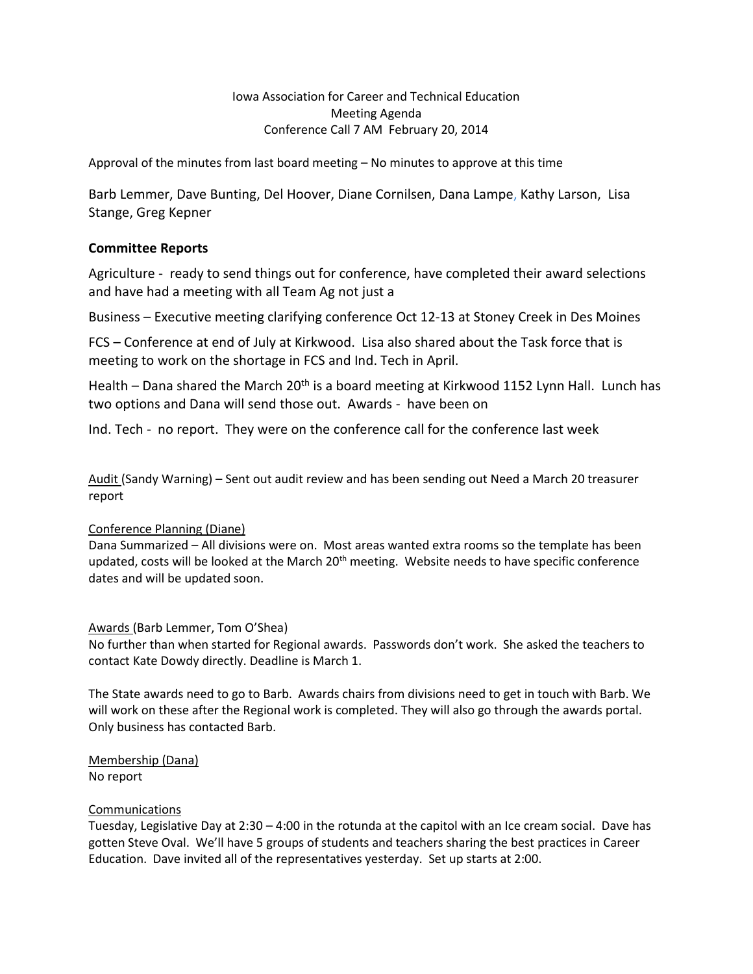Iowa Association for Career and Technical Education Meeting Agenda Conference Call 7 AM February 20, 2014

Approval of the minutes from last board meeting – No minutes to approve at this time

Barb Lemmer, Dave Bunting, Del Hoover, Diane Cornilsen, Dana Lampe, Kathy Larson, Lisa Stange, Greg Kepner

# **Committee Reports**

Agriculture - ready to send things out for conference, have completed their award selections and have had a meeting with all Team Ag not just a

Business – Executive meeting clarifying conference Oct 12-13 at Stoney Creek in Des Moines

FCS – Conference at end of July at Kirkwood. Lisa also shared about the Task force that is meeting to work on the shortage in FCS and Ind. Tech in April.

Health – Dana shared the March  $20<sup>th</sup>$  is a board meeting at Kirkwood 1152 Lynn Hall. Lunch has two options and Dana will send those out. Awards - have been on

Ind. Tech - no report. They were on the conference call for the conference last week

Audit (Sandy Warning) – Sent out audit review and has been sending out Need a March 20 treasurer report

# Conference Planning (Diane)

Dana Summarized – All divisions were on. Most areas wanted extra rooms so the template has been updated, costs will be looked at the March 20<sup>th</sup> meeting. Website needs to have specific conference dates and will be updated soon.

# Awards (Barb Lemmer, Tom O'Shea)

No further than when started for Regional awards. Passwords don't work. She asked the teachers to contact Kate Dowdy directly. Deadline is March 1.

The State awards need to go to Barb. Awards chairs from divisions need to get in touch with Barb. We will work on these after the Regional work is completed. They will also go through the awards portal. Only business has contacted Barb.

Membership (Dana) No report

# Communications

Tuesday, Legislative Day at 2:30 – 4:00 in the rotunda at the capitol with an Ice cream social. Dave has gotten Steve Oval. We'll have 5 groups of students and teachers sharing the best practices in Career Education. Dave invited all of the representatives yesterday. Set up starts at 2:00.